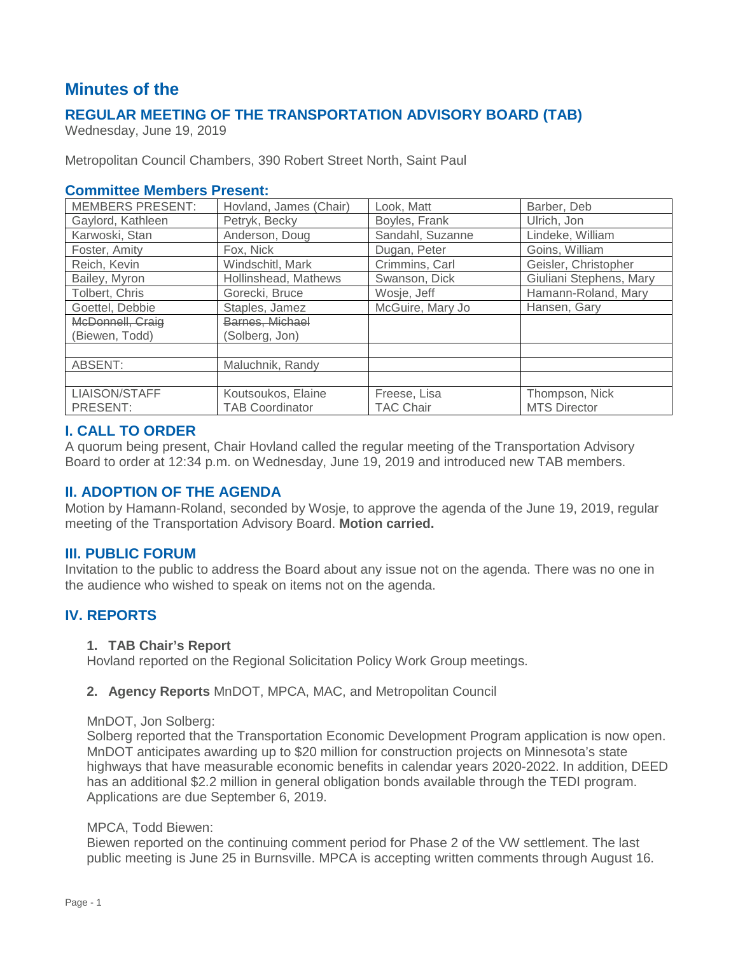# **Minutes of the**

## **REGULAR MEETING OF THE TRANSPORTATION ADVISORY BOARD (TAB)**

Wednesday, June 19, 2019

Metropolitan Council Chambers, 390 Robert Street North, Saint Paul

### **Committee Members Present:**

| <b>MEMBERS PRESENT:</b> | Hovland, James (Chair) | Look, Matt       | Barber, Deb             |
|-------------------------|------------------------|------------------|-------------------------|
| Gaylord, Kathleen       | Petryk, Becky          | Boyles, Frank    | Ulrich, Jon             |
| Karwoski, Stan          | Anderson, Doug         | Sandahl, Suzanne | Lindeke, William        |
| Foster, Amity           | Fox, Nick              | Dugan, Peter     | Goins, William          |
| Reich, Kevin            | Windschitl, Mark       | Crimmins, Carl   | Geisler, Christopher    |
| Bailey, Myron           | Hollinshead, Mathews   | Swanson, Dick    | Giuliani Stephens, Mary |
| Tolbert, Chris          | Gorecki, Bruce         | Wosje, Jeff      | Hamann-Roland, Mary     |
| Goettel, Debbie         | Staples, Jamez         | McGuire, Mary Jo | Hansen, Gary            |
| McDonnell, Craig        | Barnes, Michael        |                  |                         |
| (Biewen, Todd)          | (Solberg, Jon)         |                  |                         |
|                         |                        |                  |                         |
| ABSENT:                 | Maluchnik, Randy       |                  |                         |
|                         |                        |                  |                         |
| LIAISON/STAFF           | Koutsoukos, Elaine     | Freese, Lisa     | Thompson, Nick          |
| PRESENT:                | <b>TAB Coordinator</b> | <b>TAC Chair</b> | <b>MTS Director</b>     |

### **I. CALL TO ORDER**

A quorum being present, Chair Hovland called the regular meeting of the Transportation Advisory Board to order at 12:34 p.m. on Wednesday, June 19, 2019 and introduced new TAB members.

## **II. ADOPTION OF THE AGENDA**

Motion by Hamann-Roland, seconded by Wosje, to approve the agenda of the June 19, 2019, regular meeting of the Transportation Advisory Board. **Motion carried.**

### **III. PUBLIC FORUM**

Invitation to the public to address the Board about any issue not on the agenda. There was no one in the audience who wished to speak on items not on the agenda.

## **IV. REPORTS**

### **1. TAB Chair's Report**

Hovland reported on the Regional Solicitation Policy Work Group meetings.

### **2. Agency Reports** MnDOT, MPCA, MAC, and Metropolitan Council

### MnDOT, Jon Solberg:

Solberg reported that the Transportation Economic Development Program application is now open. MnDOT anticipates awarding up to \$20 million for construction projects on Minnesota's state highways that have measurable economic benefits in calendar years 2020-2022. In addition, DEED has an additional \$2.2 million in general obligation bonds available through the TEDI program. Applications are due September 6, 2019.

### MPCA, Todd Biewen:

Biewen reported on the continuing comment period for Phase 2 of the VW settlement. The last public meeting is June 25 in Burnsville. MPCA is accepting written comments through August 16.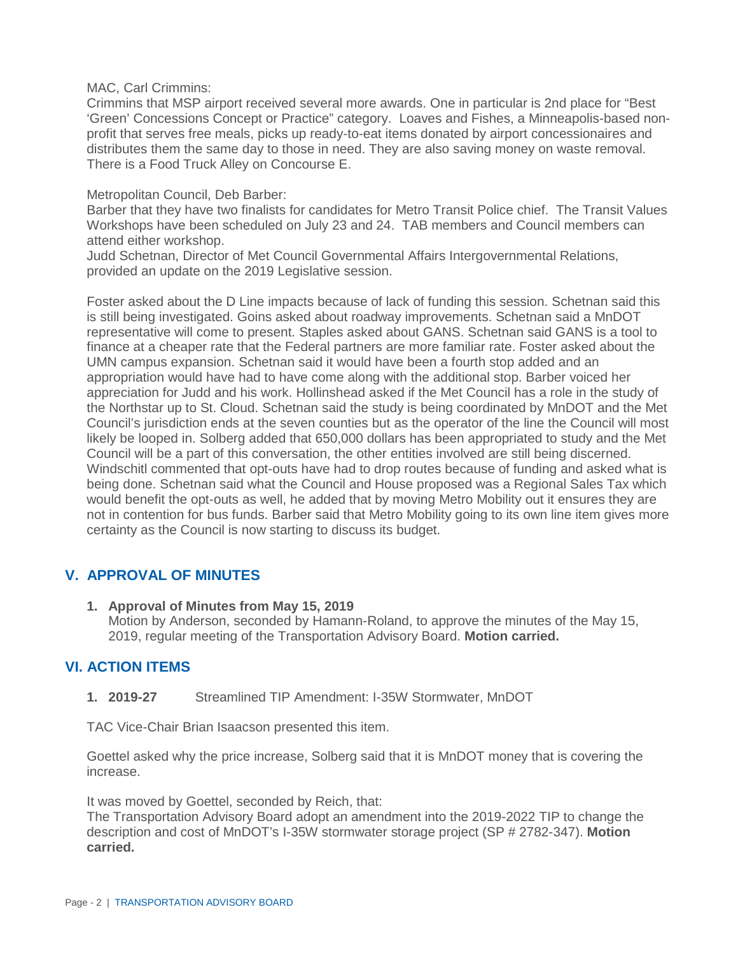MAC, Carl Crimmins:

Crimmins that MSP airport received several more awards. One in particular is 2nd place for "Best 'Green' Concessions Concept or Practice" category. Loaves and Fishes, a Minneapolis-based nonprofit that serves free meals, picks up ready-to-eat items donated by airport concessionaires and distributes them the same day to those in need. They are also saving money on waste removal. There is a Food Truck Alley on Concourse E.

### Metropolitan Council, Deb Barber:

Barber that they have two finalists for candidates for Metro Transit Police chief. The Transit Values Workshops have been scheduled on July 23 and 24. TAB members and Council members can attend either workshop.

Judd Schetnan, Director of Met Council Governmental Affairs Intergovernmental Relations, provided an update on the 2019 Legislative session.

Foster asked about the D Line impacts because of lack of funding this session. Schetnan said this is still being investigated. Goins asked about roadway improvements. Schetnan said a MnDOT representative will come to present. Staples asked about GANS. Schetnan said GANS is a tool to finance at a cheaper rate that the Federal partners are more familiar rate. Foster asked about the UMN campus expansion. Schetnan said it would have been a fourth stop added and an appropriation would have had to have come along with the additional stop. Barber voiced her appreciation for Judd and his work. Hollinshead asked if the Met Council has a role in the study of the Northstar up to St. Cloud. Schetnan said the study is being coordinated by MnDOT and the Met Council's jurisdiction ends at the seven counties but as the operator of the line the Council will most likely be looped in. Solberg added that 650,000 dollars has been appropriated to study and the Met Council will be a part of this conversation, the other entities involved are still being discerned. Windschitl commented that opt-outs have had to drop routes because of funding and asked what is being done. Schetnan said what the Council and House proposed was a Regional Sales Tax which would benefit the opt-outs as well, he added that by moving Metro Mobility out it ensures they are not in contention for bus funds. Barber said that Metro Mobility going to its own line item gives more certainty as the Council is now starting to discuss its budget.

## **V. APPROVAL OF MINUTES**

**1. Approval of Minutes from May 15, 2019** Motion by Anderson, seconded by Hamann-Roland, to approve the minutes of the May 15, 2019, regular meeting of the Transportation Advisory Board. **Motion carried.**

## **VI. ACTION ITEMS**

**1. 2019-27** Streamlined TIP Amendment: I-35W Stormwater, MnDOT

TAC Vice-Chair Brian Isaacson presented this item.

Goettel asked why the price increase, Solberg said that it is MnDOT money that is covering the increase.

It was moved by Goettel, seconded by Reich, that:

The Transportation Advisory Board adopt an amendment into the 2019-2022 TIP to change the description and cost of MnDOT's I-35W stormwater storage project (SP # 2782-347). **Motion carried.**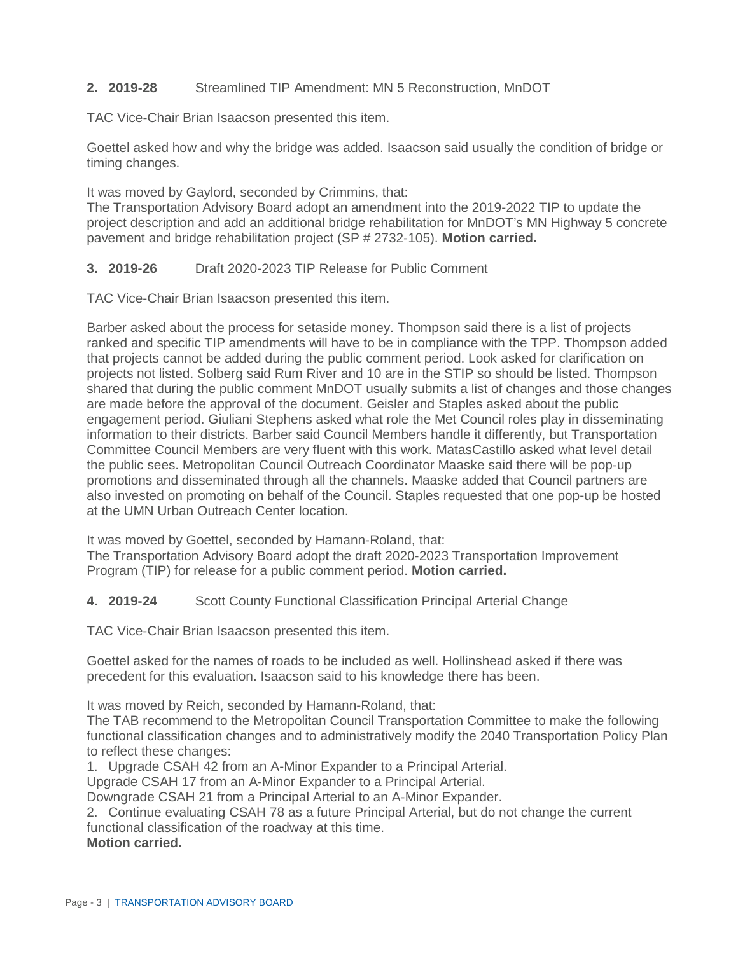### **2. 2019-28** Streamlined TIP Amendment: MN 5 Reconstruction, MnDOT

TAC Vice-Chair Brian Isaacson presented this item.

Goettel asked how and why the bridge was added. Isaacson said usually the condition of bridge or timing changes.

It was moved by Gaylord, seconded by Crimmins, that:

The Transportation Advisory Board adopt an amendment into the 2019-2022 TIP to update the project description and add an additional bridge rehabilitation for MnDOT's MN Highway 5 concrete pavement and bridge rehabilitation project (SP # 2732-105). **Motion carried.**

### **3. 2019-26** Draft 2020-2023 TIP Release for Public Comment

TAC Vice-Chair Brian Isaacson presented this item.

Barber asked about the process for setaside money. Thompson said there is a list of projects ranked and specific TIP amendments will have to be in compliance with the TPP. Thompson added that projects cannot be added during the public comment period. Look asked for clarification on projects not listed. Solberg said Rum River and 10 are in the STIP so should be listed. Thompson shared that during the public comment MnDOT usually submits a list of changes and those changes are made before the approval of the document. Geisler and Staples asked about the public engagement period. Giuliani Stephens asked what role the Met Council roles play in disseminating information to their districts. Barber said Council Members handle it differently, but Transportation Committee Council Members are very fluent with this work. MatasCastillo asked what level detail the public sees. Metropolitan Council Outreach Coordinator Maaske said there will be pop-up promotions and disseminated through all the channels. Maaske added that Council partners are also invested on promoting on behalf of the Council. Staples requested that one pop-up be hosted at the UMN Urban Outreach Center location.

It was moved by Goettel, seconded by Hamann-Roland, that:

The Transportation Advisory Board adopt the draft 2020-2023 Transportation Improvement Program (TIP) for release for a public comment period. **Motion carried.**

### **4. 2019-24** Scott County Functional Classification Principal Arterial Change

TAC Vice-Chair Brian Isaacson presented this item.

Goettel asked for the names of roads to be included as well. Hollinshead asked if there was precedent for this evaluation. Isaacson said to his knowledge there has been.

It was moved by Reich, seconded by Hamann-Roland, that:

The TAB recommend to the Metropolitan Council Transportation Committee to make the following functional classification changes and to administratively modify the 2040 Transportation Policy Plan to reflect these changes:

1. Upgrade CSAH 42 from an A-Minor Expander to a Principal Arterial.

Upgrade CSAH 17 from an A-Minor Expander to a Principal Arterial.

Downgrade CSAH 21 from a Principal Arterial to an A-Minor Expander.

2. Continue evaluating CSAH 78 as a future Principal Arterial, but do not change the current functional classification of the roadway at this time.

**Motion carried.**